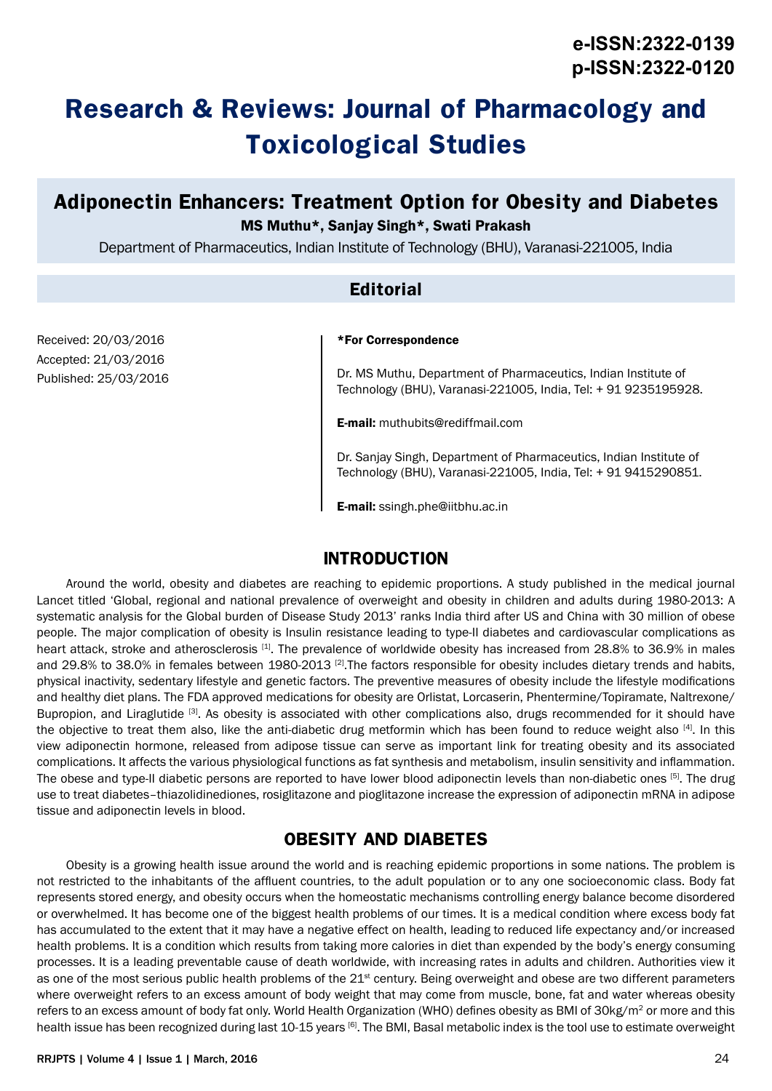# **Research & Reviews: Journal of Pharmacology and Toxicological Studies**

# **Adiponectin Enhancers: Treatment Option for Obesity and Diabetes** MS Muthu\*, Sanjay Singh\*, Swati Prakash

Department of Pharmaceutics, Indian Institute of Technology (BHU), Varanasi-221005, India

#### **Editorial**

#### \*For Correspondence

Dr. MS Muthu, Department of Pharmaceutics, Indian Institute of Technology (BHU), Varanasi-221005, India, Tel: + 91 9235195928.

**E-mail:** muthubits@rediffmail.com

Dr. Sanjay Singh, Department of Pharmaceutics, Indian Institute of Technology (BHU), Varanasi-221005, India, Tel: + 91 9415290851.

E-mail: ssingh.phe@iitbhu.ac.in

#### **INTRODUCTION**

Around the world, obesity and diabetes are reaching to epidemic proportions. A study published in the medical journal Lancet titled 'Global, regional and national prevalence of overweight and obesity in children and adults during 1980-2013: A systematic analysis for the Global burden of Disease Study 2013' ranks India third after US and China with 30 million of obese people. The major complication of obesity is Insulin resistance leading to type-II diabetes and cardiovascular complications as heart attack, stroke and atherosclerosis [1]. The prevalence of worldwide obesity has increased from 28.8% to 36.9% in males and 29.8% to 38.0% in females between 1980-2013 [2]. The factors responsible for obesity includes dietary trends and habits, physical inactivity, sedentary lifestyle and genetic factors. The preventive measures of obesity include the lifestyle modifications and healthy diet plans. The FDA approved medications for obesity are Orlistat, Lorcaserin, Phentermine/Topiramate, Naltrexone/ Bupropion, and Liraglutide <sup>[3]</sup>. As obesity is associated with other complications also, drugs recommended for it should have the objective to treat them also, like the anti-diabetic drug metformin which has been found to reduce weight also [4]. In this view adiponectin hormone, released from adipose tissue can serve as important link for treating obesity and its associated complications. It affects the various physiological functions as fat synthesis and metabolism, insulin sensitivity and inflammation. The obese and type-II diabetic persons are reported to have lower blood adiponectin levels than non-diabetic ones [5]. The drug use to treat diabetes–thiazolidinediones, rosiglitazone and pioglitazone increase the expression of adiponectin mRNA in adipose tissue and adiponectin levels in blood.

## **OBESITY AND DIABETES**

Obesity is a growing health issue around the world and is reaching epidemic proportions in some nations. The problem is not restricted to the inhabitants of the affluent countries, to the adult population or to any one socioeconomic class. Body fat represents stored energy, and obesity occurs when the homeostatic mechanisms controlling energy balance become disordered or overwhelmed. It has become one of the biggest health problems of our times. It is a medical condition where excess body fat has accumulated to the extent that it may have a negative effect on health, leading to reduced life expectancy and/or increased health problems. It is a condition which results from taking more calories in diet than expended by the body's energy consuming processes. It is a leading preventable cause of death worldwide, with increasing rates in adults and children. Authorities view it as one of the most serious public health problems of the 21<sup>st</sup> century. Being overweight and obese are two different parameters where overweight refers to an excess amount of body weight that may come from muscle, bone, fat and water whereas obesity refers to an excess amount of body fat only. World Health Organization (WHO) defines obesity as BMI of 30kg/m<sup>2</sup> or more and this health issue has been recognized during last 10-15 years [6]. The BMI, Basal metabolic index is the tool use to estimate overweight

Received: 20/03/2016 Accepted: 21/03/2016 Published: 25/03/2016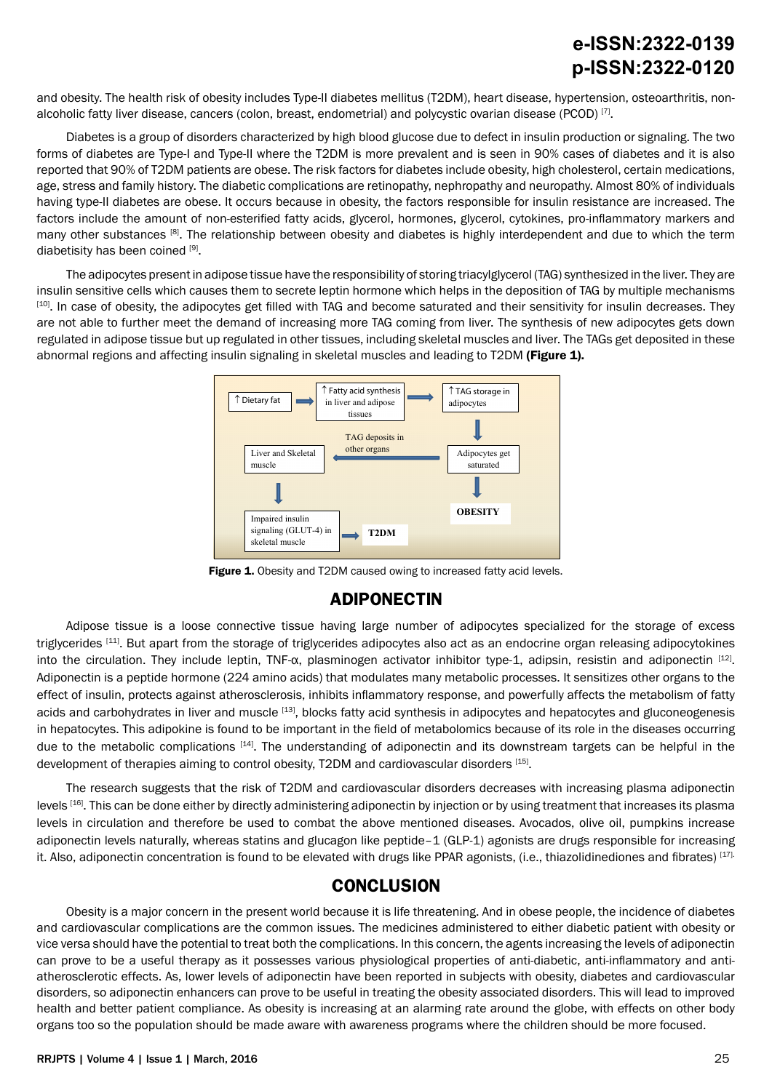# **e-ISSN:2322-0139 p-ISSN:2322-0120**

and obesity. The health risk of obesity includes Type-II diabetes mellitus (T2DM), heart disease, hypertension, osteoarthritis, nonalcoholic fatty liver disease, cancers (colon, breast, endometrial) and polycystic ovarian disease (PCOD) [7].

Diabetes is a group of disorders characterized by high blood glucose due to defect in insulin production or signaling. The two forms of diabetes are Type-I and Type-II where the T2DM is more prevalent and is seen in 90% cases of diabetes and it is also reported that 90% of T2DM patients are obese. The risk factors for diabetes include obesity, high cholesterol, certain medications, age, stress and family history. The diabetic complications are retinopathy, nephropathy and neuropathy. Almost 80% of individuals having type-II diabetes are obese. It occurs because in obesity, the factors responsible for insulin resistance are increased. The factors include the amount of non-esterified fatty acids, glycerol, hormones, glycerol, cytokines, pro-inflammatory markers and many other substances <sup>[8]</sup>. The relationship between obesity and diabetes is highly interdependent and due to which the term diabetisity has been coined [9].

The adipocytes present in adipose tissue have the responsibility of storing triacylglycerol (TAG) synthesized in the liver. They are insulin sensitive cells which causes them to secrete leptin hormone which helps in the deposition of TAG by multiple mechanisms [10]. In case of obesity, the adipocytes get filled with TAG and become saturated and their sensitivity for insulin decreases. They are not able to further meet the demand of increasing more TAG coming from liver. The synthesis of new adipocytes gets down regulated in adipose tissue but up regulated in other tissues, including skeletal muscles and liver. The TAGs get deposited in these abnormal regions and affecting insulin signaling in skeletal muscles and leading to T2DM (Figure 1).



Figure 1. Obesity and T2DM caused owing to increased fatty acid levels.

## **ADIPONECTIN**

Adipose tissue is a loose connective tissue having large number of adipocytes specialized for the storage of excess triglycerides [11]. But apart from the storage of triglycerides adipocytes also act as an endocrine organ releasing adipocytokines into the circulation. They include leptin, TNF- $\alpha$ , plasminogen activator inhibitor type-1, adipsin, resistin and adiponectin  $[12]$ . Adiponectin is a peptide hormone (224 amino acids) that modulates many metabolic processes. It sensitizes other organs to the effect of insulin, protects against atherosclerosis, inhibits inflammatory response, and powerfully affects the metabolism of fatty acids and carbohydrates in liver and muscle [13], blocks fatty acid synthesis in adipocytes and hepatocytes and gluconeogenesis in hepatocytes. This adipokine is found to be important in the field of metabolomics because of its role in the diseases occurring due to the metabolic complications [14]. The understanding of adiponectin and its downstream targets can be helpful in the development of therapies aiming to control obesity, T2DM and cardiovascular disorders [15].

The research suggests that the risk of T2DM and cardiovascular disorders decreases with increasing plasma adiponectin levels [16]. This can be done either by directly administering adiponectin by injection or by using treatment that increases its plasma levels in circulation and therefore be used to combat the above mentioned diseases. Avocados, olive oil, pumpkins increase adiponectin levels naturally, whereas statins and glucagon like peptide–1 (GLP-1) agonists are drugs responsible for increasing it. Also, adiponectin concentration is found to be elevated with drugs like PPAR agonists, (i.e., thiazolidinediones and fibrates) [17].

## **CONCLUSION**

Obesity is a major concern in the present world because it is life threatening. And in obese people, the incidence of diabetes and cardiovascular complications are the common issues. The medicines administered to either diabetic patient with obesity or vice versa should have the potential to treat both the complications. In this concern, the agents increasing the levels of adiponectin can prove to be a useful therapy as it possesses various physiological properties of anti-diabetic, anti-inflammatory and antiatherosclerotic effects. As, lower levels of adiponectin have been reported in subjects with obesity, diabetes and cardiovascular disorders, so adiponectin enhancers can prove to be useful in treating the obesity associated disorders. This will lead to improved health and better patient compliance. As obesity is increasing at an alarming rate around the globe, with effects on other body organs too so the population should be made aware with awareness programs where the children should be more focused.